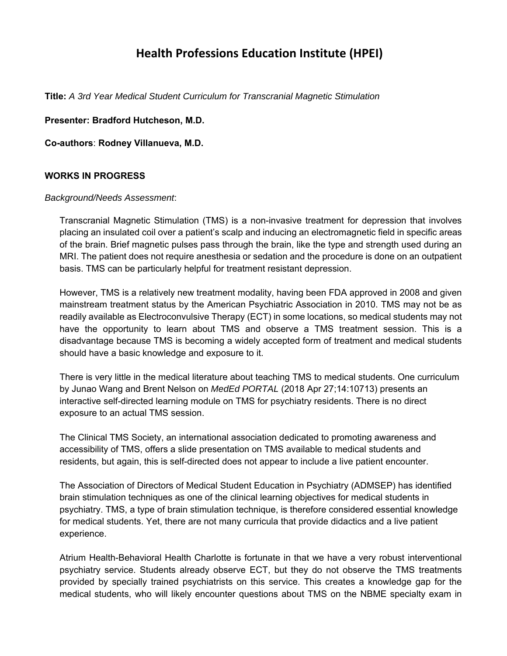# **Health Professions Education Institute (HPEI)**

**Title:** *A 3rd Year Medical Student Curriculum for Transcranial Magnetic Stimulation* 

**Presenter: Bradford Hutcheson, M.D.** 

**Co-authors**: **Rodney Villanueva, M.D.** 

#### **WORKS IN PROGRESS**

#### *Background/Needs Assessment*:

Transcranial Magnetic Stimulation (TMS) is a non-invasive treatment for depression that involves placing an insulated coil over a patient's scalp and inducing an electromagnetic field in specific areas of the brain. Brief magnetic pulses pass through the brain, like the type and strength used during an MRI. The patient does not require anesthesia or sedation and the procedure is done on an outpatient basis. TMS can be particularly helpful for treatment resistant depression.

However, TMS is a relatively new treatment modality, having been FDA approved in 2008 and given mainstream treatment status by the American Psychiatric Association in 2010. TMS may not be as readily available as Electroconvulsive Therapy (ECT) in some locations, so medical students may not have the opportunity to learn about TMS and observe a TMS treatment session. This is a disadvantage because TMS is becoming a widely accepted form of treatment and medical students should have a basic knowledge and exposure to it.

There is very little in the medical literature about teaching TMS to medical students. One curriculum by Junao Wang and Brent Nelson on *MedEd PORTAL* (2018 Apr 27;14:10713) presents an interactive self-directed learning module on TMS for psychiatry residents. There is no direct exposure to an actual TMS session.

The Clinical TMS Society, an international association dedicated to promoting awareness and accessibility of TMS, offers a slide presentation on TMS available to medical students and residents, but again, this is self-directed does not appear to include a live patient encounter.

The Association of Directors of Medical Student Education in Psychiatry (ADMSEP) has identified brain stimulation techniques as one of the clinical learning objectives for medical students in psychiatry. TMS, a type of brain stimulation technique, is therefore considered essential knowledge for medical students. Yet, there are not many curricula that provide didactics and a live patient experience.

Atrium Health-Behavioral Health Charlotte is fortunate in that we have a very robust interventional psychiatry service. Students already observe ECT, but they do not observe the TMS treatments provided by specially trained psychiatrists on this service. This creates a knowledge gap for the medical students, who will likely encounter questions about TMS on the NBME specialty exam in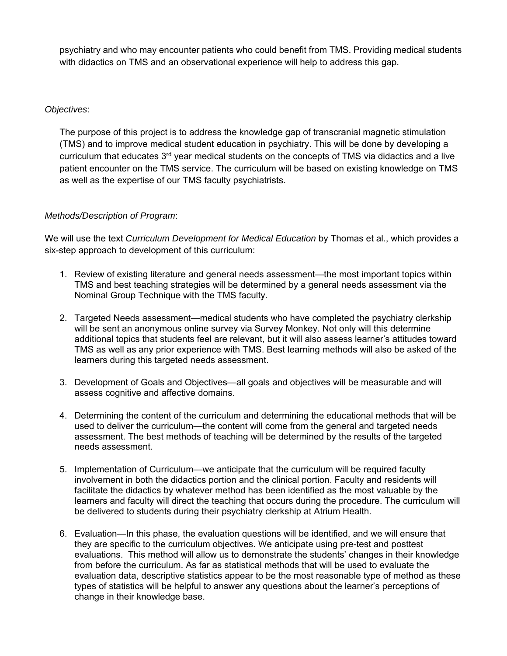psychiatry and who may encounter patients who could benefit from TMS. Providing medical students with didactics on TMS and an observational experience will help to address this gap.

#### *Objectives*:

The purpose of this project is to address the knowledge gap of transcranial magnetic stimulation (TMS) and to improve medical student education in psychiatry. This will be done by developing a curriculum that educates 3<sup>rd</sup> year medical students on the concepts of TMS via didactics and a live patient encounter on the TMS service. The curriculum will be based on existing knowledge on TMS as well as the expertise of our TMS faculty psychiatrists.

## *Methods/Description of Program*:

We will use the text *Curriculum Development for Medical Education* by Thomas et al., which provides a six-step approach to development of this curriculum:

- 1. Review of existing literature and general needs assessment—the most important topics within TMS and best teaching strategies will be determined by a general needs assessment via the Nominal Group Technique with the TMS faculty.
- 2. Targeted Needs assessment—medical students who have completed the psychiatry clerkship will be sent an anonymous online survey via Survey Monkey. Not only will this determine additional topics that students feel are relevant, but it will also assess learner's attitudes toward TMS as well as any prior experience with TMS. Best learning methods will also be asked of the learners during this targeted needs assessment.
- 3. Development of Goals and Objectives—all goals and objectives will be measurable and will assess cognitive and affective domains.
- 4. Determining the content of the curriculum and determining the educational methods that will be used to deliver the curriculum—the content will come from the general and targeted needs assessment. The best methods of teaching will be determined by the results of the targeted needs assessment.
- 5. Implementation of Curriculum—we anticipate that the curriculum will be required faculty involvement in both the didactics portion and the clinical portion. Faculty and residents will facilitate the didactics by whatever method has been identified as the most valuable by the learners and faculty will direct the teaching that occurs during the procedure. The curriculum will be delivered to students during their psychiatry clerkship at Atrium Health.
- 6. Evaluation—In this phase, the evaluation questions will be identified, and we will ensure that they are specific to the curriculum objectives. We anticipate using pre-test and posttest evaluations. This method will allow us to demonstrate the students' changes in their knowledge from before the curriculum. As far as statistical methods that will be used to evaluate the evaluation data, descriptive statistics appear to be the most reasonable type of method as these types of statistics will be helpful to answer any questions about the learner's perceptions of change in their knowledge base.